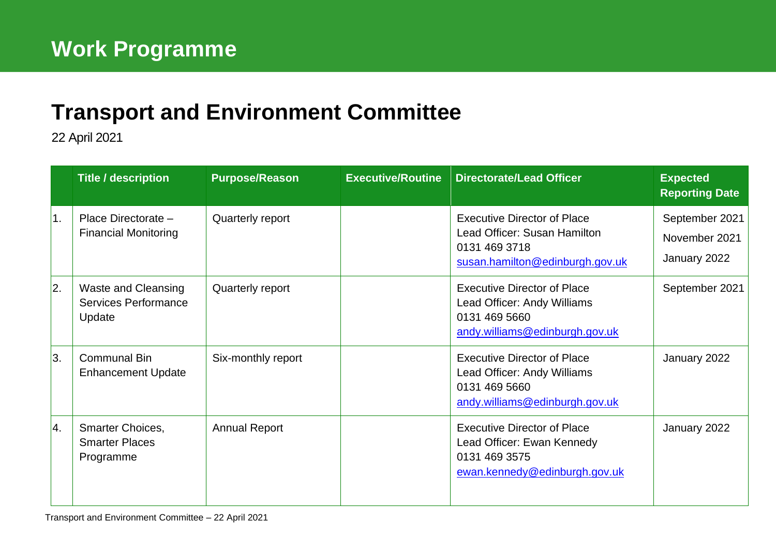## **[Transport and Environment](mailto:john.bury@edinburgh.gov.uk) Committee**

22 April 2021

|    | <b>Title / description</b>                                          | <b>Purpose/Reason</b> | <b>Executive/Routine</b> | <b>Directorate/Lead Officer</b>                                                                                        | <b>Expected</b><br><b>Reporting Date</b>        |
|----|---------------------------------------------------------------------|-----------------------|--------------------------|------------------------------------------------------------------------------------------------------------------------|-------------------------------------------------|
| 1. | Place Directorate -<br><b>Financial Monitoring</b>                  | Quarterly report      |                          | <b>Executive Director of Place</b><br>Lead Officer: Susan Hamilton<br>0131 469 3718<br>susan.hamilton@edinburgh.gov.uk | September 2021<br>November 2021<br>January 2022 |
| 2. | <b>Waste and Cleansing</b><br><b>Services Performance</b><br>Update | Quarterly report      |                          | <b>Executive Director of Place</b><br>Lead Officer: Andy Williams<br>0131 469 5660<br>andy.williams@edinburgh.gov.uk   | September 2021                                  |
| 3. | <b>Communal Bin</b><br><b>Enhancement Update</b>                    | Six-monthly report    |                          | <b>Executive Director of Place</b><br>Lead Officer: Andy Williams<br>0131 469 5660<br>andy.williams@edinburgh.gov.uk   | January 2022                                    |
| 4. | Smarter Choices,<br><b>Smarter Places</b><br>Programme              | <b>Annual Report</b>  |                          | <b>Executive Director of Place</b><br>Lead Officer: Ewan Kennedy<br>0131 469 3575<br>ewan.kennedy@edinburgh.gov.uk     | January 2022                                    |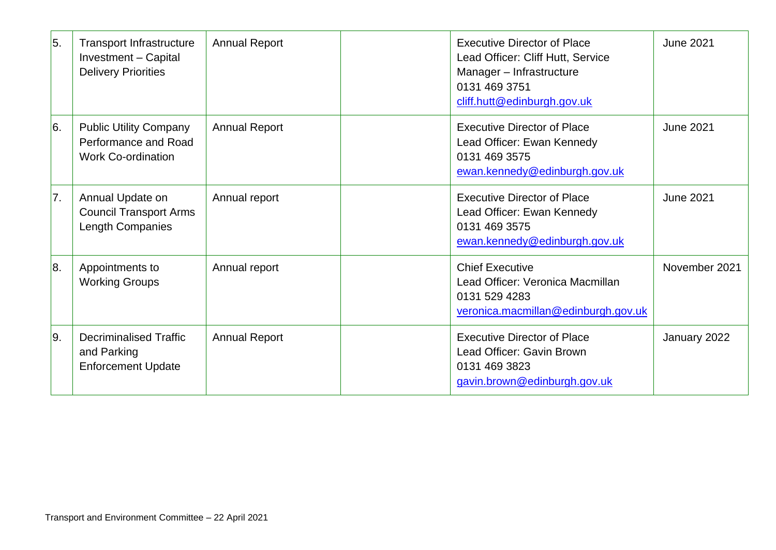| $\overline{5}$ . | <b>Transport Infrastructure</b><br>Investment - Capital<br><b>Delivery Priorities</b> | <b>Annual Report</b> | <b>Executive Director of Place</b><br>Lead Officer: Cliff Hutt, Service<br>Manager - Infrastructure<br>0131 469 3751<br>cliff.hutt@edinburgh.gov.uk | <b>June 2021</b> |
|------------------|---------------------------------------------------------------------------------------|----------------------|-----------------------------------------------------------------------------------------------------------------------------------------------------|------------------|
| 6.               | <b>Public Utility Company</b><br>Performance and Road<br><b>Work Co-ordination</b>    | <b>Annual Report</b> | <b>Executive Director of Place</b><br>Lead Officer: Ewan Kennedy<br>0131 469 3575<br>ewan.kennedy@edinburgh.gov.uk                                  | <b>June 2021</b> |
| 7.               | Annual Update on<br><b>Council Transport Arms</b><br>Length Companies                 | Annual report        | <b>Executive Director of Place</b><br>Lead Officer: Ewan Kennedy<br>0131 469 3575<br>ewan.kennedy@edinburgh.gov.uk                                  | <b>June 2021</b> |
| 8.               | Appointments to<br><b>Working Groups</b>                                              | Annual report        | <b>Chief Executive</b><br>Lead Officer: Veronica Macmillan<br>0131 529 4283<br>veronica.macmillan@edinburgh.gov.uk                                  | November 2021    |
| 9.               | <b>Decriminalised Traffic</b><br>and Parking<br><b>Enforcement Update</b>             | <b>Annual Report</b> | <b>Executive Director of Place</b><br>Lead Officer: Gavin Brown<br>0131 469 3823<br>gavin.brown@edinburgh.gov.uk                                    | January 2022     |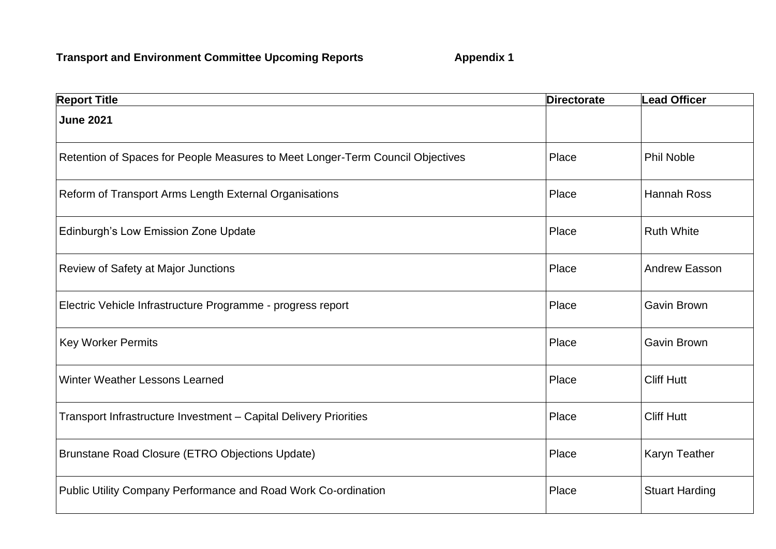| <b>Report Title</b>                                                            | <b>Directorate</b> | <b>Lead Officer</b>   |
|--------------------------------------------------------------------------------|--------------------|-----------------------|
| <b>June 2021</b>                                                               |                    |                       |
| Retention of Spaces for People Measures to Meet Longer-Term Council Objectives | Place              | <b>Phil Noble</b>     |
| Reform of Transport Arms Length External Organisations                         | Place              | <b>Hannah Ross</b>    |
| Edinburgh's Low Emission Zone Update                                           | Place              | <b>Ruth White</b>     |
| Review of Safety at Major Junctions                                            | Place              | <b>Andrew Easson</b>  |
| Electric Vehicle Infrastructure Programme - progress report                    | Place              | <b>Gavin Brown</b>    |
| <b>Key Worker Permits</b>                                                      | Place              | Gavin Brown           |
| <b>Winter Weather Lessons Learned</b>                                          | Place              | <b>Cliff Hutt</b>     |
| Transport Infrastructure Investment - Capital Delivery Priorities              | Place              | <b>Cliff Hutt</b>     |
| Brunstane Road Closure (ETRO Objections Update)                                | Place              | Karyn Teather         |
| Public Utility Company Performance and Road Work Co-ordination                 | Place              | <b>Stuart Harding</b> |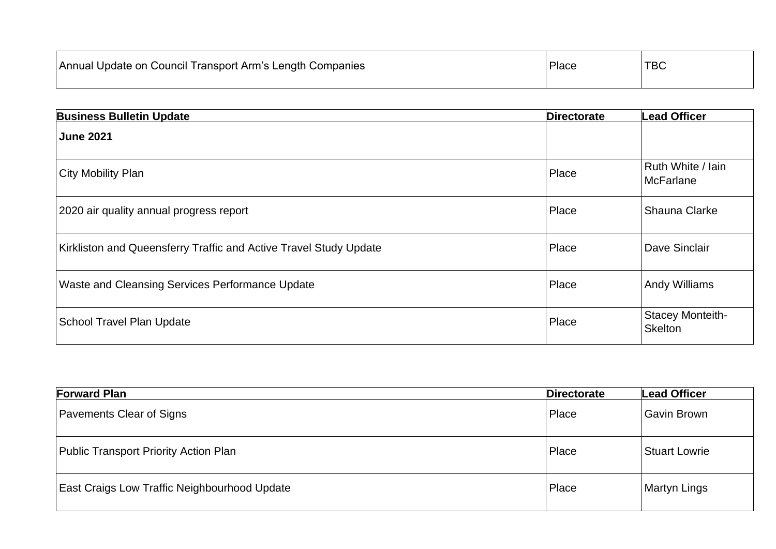| Annual Update on Council Transport Arm's Length Companies | Place | <b>TBC</b> |
|-----------------------------------------------------------|-------|------------|
|-----------------------------------------------------------|-------|------------|

| <b>Business Bulletin Update</b>                                   | <b>Directorate</b> | <b>Lead Officer</b>                       |
|-------------------------------------------------------------------|--------------------|-------------------------------------------|
| <b>June 2021</b>                                                  |                    |                                           |
| City Mobility Plan                                                | Place              | Ruth White / Iain<br><b>McFarlane</b>     |
| 2020 air quality annual progress report                           | Place              | Shauna Clarke                             |
| Kirkliston and Queensferry Traffic and Active Travel Study Update | Place              | Dave Sinclair                             |
| Waste and Cleansing Services Performance Update                   | Place              | <b>Andy Williams</b>                      |
| <b>School Travel Plan Update</b>                                  | Place              | <b>Stacey Monteith-</b><br><b>Skelton</b> |

| <b>Forward Plan</b>                                 | <b>Directorate</b> | Lead Officer         |
|-----------------------------------------------------|--------------------|----------------------|
| Pavements Clear of Signs                            | Place              | <b>Gavin Brown</b>   |
| Public Transport Priority Action Plan               | Place              | <b>Stuart Lowrie</b> |
| <b>East Craigs Low Traffic Neighbourhood Update</b> | Place              | <b>Martyn Lings</b>  |